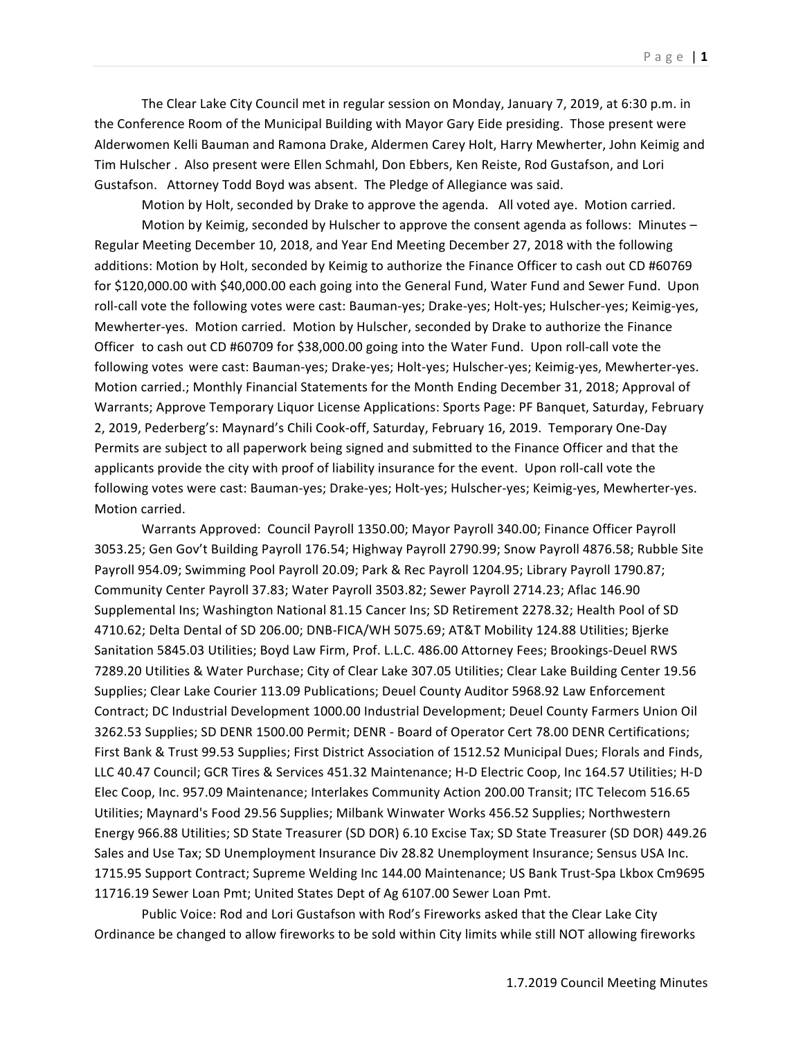The Clear Lake City Council met in regular session on Monday, January 7, 2019, at 6:30 p.m. in the Conference Room of the Municipal Building with Mayor Gary Eide presiding. Those present were Alderwomen Kelli Bauman and Ramona Drake, Aldermen Carey Holt, Harry Mewherter, John Keimig and Tim Hulscher . Also present were Ellen Schmahl, Don Ebbers, Ken Reiste, Rod Gustafson, and Lori Gustafson. Attorney Todd Boyd was absent. The Pledge of Allegiance was said.

Motion by Holt, seconded by Drake to approve the agenda. All voted aye. Motion carried.

Motion by Keimig, seconded by Hulscher to approve the consent agenda as follows: Minutes  $-$ Regular Meeting December 10, 2018, and Year End Meeting December 27, 2018 with the following additions: Motion by Holt, seconded by Keimig to authorize the Finance Officer to cash out CD #60769 for \$120,000.00 with \$40,000.00 each going into the General Fund, Water Fund and Sewer Fund. Upon roll-call vote the following votes were cast: Bauman-yes; Drake-yes; Holt-yes; Hulscher-yes; Keimig-yes, Mewherter-yes. Motion carried. Motion by Hulscher, seconded by Drake to authorize the Finance Officer to cash out CD #60709 for \$38,000.00 going into the Water Fund. Upon roll-call vote the following votes were cast: Bauman-yes; Drake-yes; Holt-yes; Hulscher-yes; Keimig-yes, Mewherter-yes. Motion carried.; Monthly Financial Statements for the Month Ending December 31, 2018; Approval of Warrants; Approve Temporary Liquor License Applications: Sports Page: PF Banquet, Saturday, February 2, 2019, Pederberg's: Maynard's Chili Cook-off, Saturday, February 16, 2019. Temporary One-Day Permits are subject to all paperwork being signed and submitted to the Finance Officer and that the applicants provide the city with proof of liability insurance for the event. Upon roll-call vote the following votes were cast: Bauman-yes; Drake-yes; Holt-yes; Hulscher-yes; Keimig-yes, Mewherter-yes. Motion carried.

Warrants Approved: Council Payroll 1350.00; Mayor Payroll 340.00; Finance Officer Payroll 3053.25; Gen Gov't Building Payroll 176.54; Highway Payroll 2790.99; Snow Payroll 4876.58; Rubble Site Payroll 954.09; Swimming Pool Payroll 20.09; Park & Rec Payroll 1204.95; Library Payroll 1790.87; Community Center Payroll 37.83; Water Payroll 3503.82; Sewer Payroll 2714.23; Aflac 146.90 Supplemental Ins; Washington National 81.15 Cancer Ins; SD Retirement 2278.32; Health Pool of SD 4710.62; Delta Dental of SD 206.00; DNB-FICA/WH 5075.69; AT&T Mobility 124.88 Utilities; Bjerke Sanitation 5845.03 Utilities; Boyd Law Firm, Prof. L.L.C. 486.00 Attorney Fees; Brookings-Deuel RWS 7289.20 Utilities & Water Purchase; City of Clear Lake 307.05 Utilities; Clear Lake Building Center 19.56 Supplies; Clear Lake Courier 113.09 Publications; Deuel County Auditor 5968.92 Law Enforcement Contract; DC Industrial Development 1000.00 Industrial Development; Deuel County Farmers Union Oil 3262.53 Supplies; SD DENR 1500.00 Permit; DENR - Board of Operator Cert 78.00 DENR Certifications; First Bank & Trust 99.53 Supplies; First District Association of 1512.52 Municipal Dues; Florals and Finds, LLC 40.47 Council; GCR Tires & Services 451.32 Maintenance; H-D Electric Coop, Inc 164.57 Utilities; H-D Elec Coop, Inc. 957.09 Maintenance; Interlakes Community Action 200.00 Transit; ITC Telecom 516.65 Utilities; Maynard's Food 29.56 Supplies; Milbank Winwater Works 456.52 Supplies; Northwestern Energy 966.88 Utilities; SD State Treasurer (SD DOR) 6.10 Excise Tax; SD State Treasurer (SD DOR) 449.26 Sales and Use Tax; SD Unemployment Insurance Div 28.82 Unemployment Insurance; Sensus USA Inc. 1715.95 Support Contract; Supreme Welding Inc 144.00 Maintenance; US Bank Trust-Spa Lkbox Cm9695 11716.19 Sewer Loan Pmt; United States Dept of Ag 6107.00 Sewer Loan Pmt.

Public Voice: Rod and Lori Gustafson with Rod's Fireworks asked that the Clear Lake City Ordinance be changed to allow fireworks to be sold within City limits while still NOT allowing fireworks